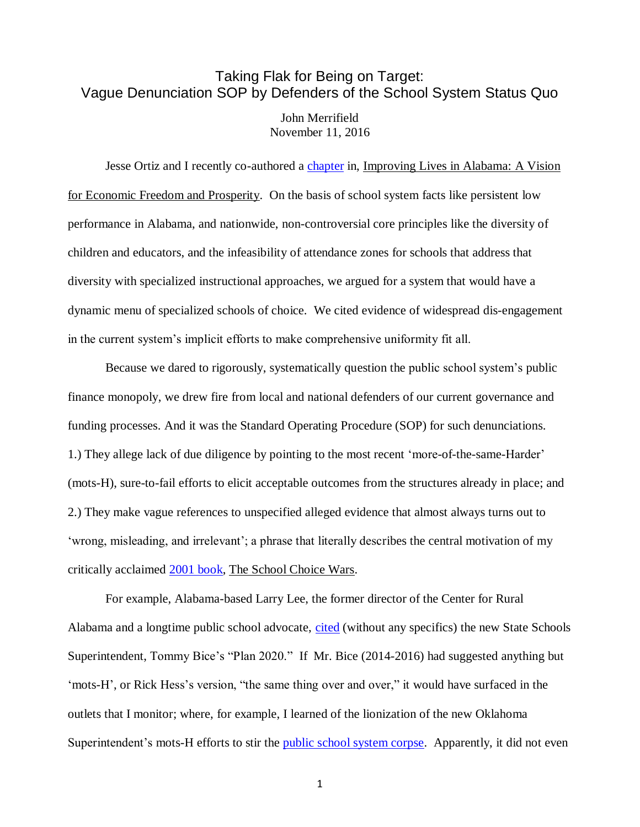## Taking Flak for Being on Target: Vague Denunciation SOP by Defenders of the School System Status Quo John Merrifield

November 11, 2016

Jesse Ortiz and I recently co-authored a [chapter](http://business.troy.edu/JohnsonCenter/reinventing-the-alabama-k-12-system-to-engage-more-children-in-productive-learning.aspx) in, Improving Lives in Alabama: A Vision for Economic Freedom and Prosperity. On the basis of school system facts like persistent low performance in Alabama, and nationwide, non-controversial core principles like the diversity of children and educators, and the infeasibility of attendance zones for schools that address that diversity with specialized instructional approaches, we argued for a system that would have a dynamic menu of specialized schools of choice. We cited evidence of widespread dis-engagement in the current system's implicit efforts to make comprehensive uniformity fit all.

Because we dared to rigorously, systematically question the public school system's public finance monopoly, we drew fire from local and national defenders of our current governance and funding processes. And it was the Standard Operating Procedure (SOP) for such denunciations. 1.) They allege lack of due diligence by pointing to the most recent 'more-of-the-same-Harder' (mots-H), sure-to-fail efforts to elicit acceptable outcomes from the structures already in place; and 2.) They make vague references to unspecified alleged evidence that almost always turns out to 'wrong, misleading, and irrelevant'; a phrase that literally describes the central motivation of my critically acclaimed [2001 book,](http://faculty.business.utsa.edu/jmerrifi/books/CHOICEWARS-Sample.html) The School Choice Wars.

For example, Alabama-based Larry Lee, the former director of the Center for Rural Alabama and a longtime public school advocate, [cited](http://www.al.com/news/index.ssf/2014/09/supporters_critics_weigh_in_on.html) (without any specifics) the new State Schools Superintendent, Tommy Bice's "Plan 2020." If Mr. Bice (2014-2016) had suggested anything but 'mots-H', or Rick Hess's version, "the same thing over and over," it would have surfaced in the outlets that I monitor; where, for example, I learned of the lionization of the new Oklahoma Superintendent's mots-H efforts to stir the [public school system corpse.](http://object.cato.org/sites/cato.org/files/serials/files/cato-journal/1994/1/cj13n3-8.pdf) Apparently, it did not even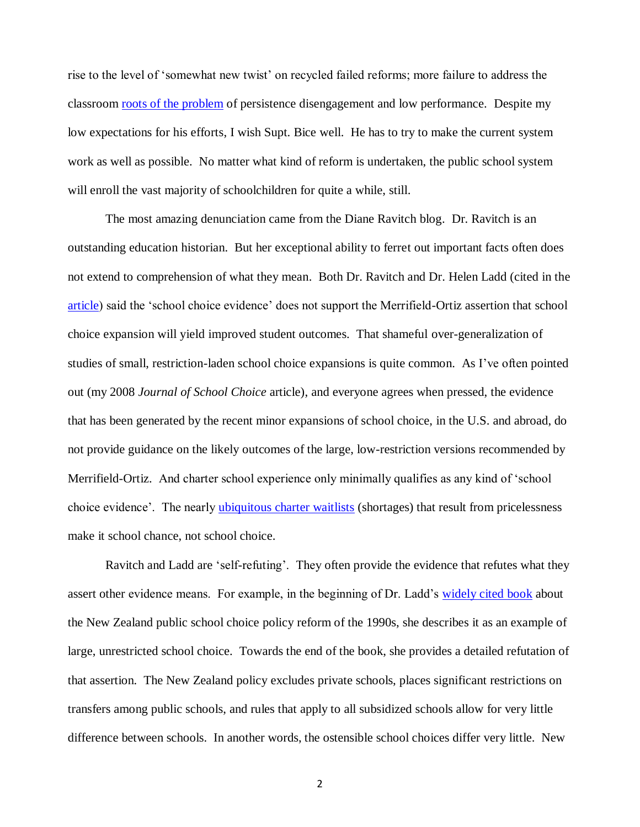rise to the level of 'somewhat new twist' on recycled failed reforms; more failure to address the classroom [roots of the problem](http://nebula.wsimg.com/de7a505e69a5da1955afc3fa273fe806?AccessKeyId=DA21FC8554A675E9CF7B&disposition=0&alloworigin=1) of persistence disengagement and low performance. Despite my low expectations for his efforts, I wish Supt. Bice well. He has to try to make the current system work as well as possible. No matter what kind of reform is undertaken, the public school system will enroll the vast majority of schoolchildren for quite a while, still.

The most amazing denunciation came from the Diane Ravitch blog. Dr. Ravitch is an outstanding education historian. But her exceptional ability to ferret out important facts often does not extend to comprehension of what they mean. Both Dr. Ravitch and Dr. Helen Ladd (cited in the [article\)](http://www.al.com/news/index.ssf/2014/09/supporters_critics_weigh_in_on.html) said the 'school choice evidence' does not support the Merrifield-Ortiz assertion that school choice expansion will yield improved student outcomes. That shameful over-generalization of studies of small, restriction-laden school choice expansions is quite common. As I've often pointed out (my 2008 *Journal of School Choice* article), and everyone agrees when pressed, the evidence that has been generated by the recent minor expansions of school choice, in the U.S. and abroad, do not provide guidance on the likely outcomes of the large, low-restriction versions recommended by Merrifield-Ortiz. And charter school experience only minimally qualifies as any kind of 'school choice evidence'. The nearly [ubiquitous charter waitlists](http://nebula.wsimg.com/f1e71809278e872970a7a52b4412d339?AccessKeyId=DA21FC8554A675E9CF7B&disposition=0&alloworigin=1) (shortages) that result from pricelessness make it school chance, not school choice.

Ravitch and Ladd are 'self-refuting'. They often provide the evidence that refutes what they assert other evidence means. For example, in the beginning of Dr. Ladd's [widely cited book](http://www.amazon.com/When-Schools-Compete-Cautionary-Tale/dp/0815728360) about the New Zealand public school choice policy reform of the 1990s, she describes it as an example of large, unrestricted school choice. Towards the end of the book, she provides a detailed refutation of that assertion. The New Zealand policy excludes private schools, places significant restrictions on transfers among public schools, and rules that apply to all subsidized schools allow for very little difference between schools. In another words, the ostensible school choices differ very little. New

<sup>2</sup>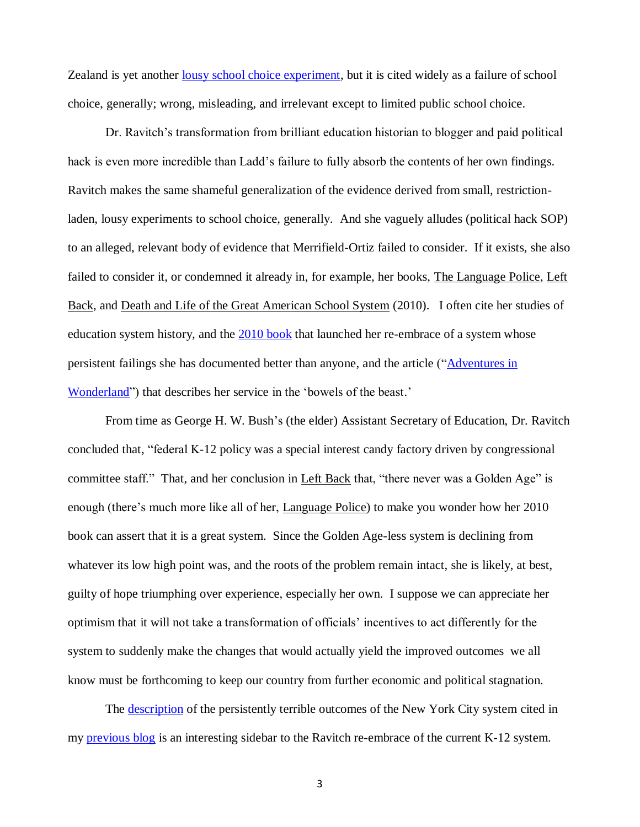Zealand is yet another [lousy school choice experiment,](http://www.schoolsystemreformstudies.net/wp-content/uploads/2016/11/The-Recurrent-Tragedy-of-Dispute-of-Lousy-Experiments.pdf) but it is cited widely as a failure of school choice, generally; wrong, misleading, and irrelevant except to limited public school choice.

Dr. Ravitch's transformation from brilliant education historian to blogger and paid political hack is even more incredible than Ladd's failure to fully absorb the contents of her own findings. Ravitch makes the same shameful generalization of the evidence derived from small, restrictionladen, lousy experiments to school choice, generally. And she vaguely alludes (political hack SOP) to an alleged, relevant body of evidence that Merrifield-Ortiz failed to consider. If it exists, she also failed to consider it, or condemned it already in, for example, her books, The Language Police, Left Back, and Death and Life of the Great American School System (2010). I often cite her studies of education system history, and the [2010 book](http://www.amazon.com/Death-Great-American-School-System/dp/0465025579) that launched her re-embrace of a system whose persistent failings she has documented better than anyone, and the article (["Adventures in](http://www.schoolsystemreformstudies.net/wp-content/uploads/2016/11/Ravitchs-Adventures-in-Wonderland.pdf)  [Wonderland"](http://www.schoolsystemreformstudies.net/wp-content/uploads/2016/11/Ravitchs-Adventures-in-Wonderland.pdf)) that describes her service in the 'bowels of the beast.'

From time as George H. W. Bush's (the elder) Assistant Secretary of Education, Dr. Ravitch concluded that, "federal K-12 policy was a special interest candy factory driven by congressional committee staff." That, and her conclusion in Left Back that, "there never was a Golden Age" is enough (there's much more like all of her, Language Police) to make you wonder how her 2010 book can assert that it is a great system. Since the Golden Age-less system is declining from whatever its low high point was, and the roots of the problem remain intact, she is likely, at best, guilty of hope triumphing over experience, especially her own. I suppose we can appreciate her optimism that it will not take a transformation of officials' incentives to act differently for the system to suddenly make the changes that would actually yield the improved outcomes we all know must be forthcoming to keep our country from further economic and political stagnation.

The [description](http://nypost.com/2014/10/02/stop-stealing-new-york-kids-future/) of the persistently terrible outcomes of the New York City system cited in my [previous blog](http://www.schoolsystemreformstudies.net/wp-content/uploads/2016/11/NYC-description-re-affirms-key-fallacies.pdf) is an interesting sidebar to the Ravitch re-embrace of the current K-12 system.

3